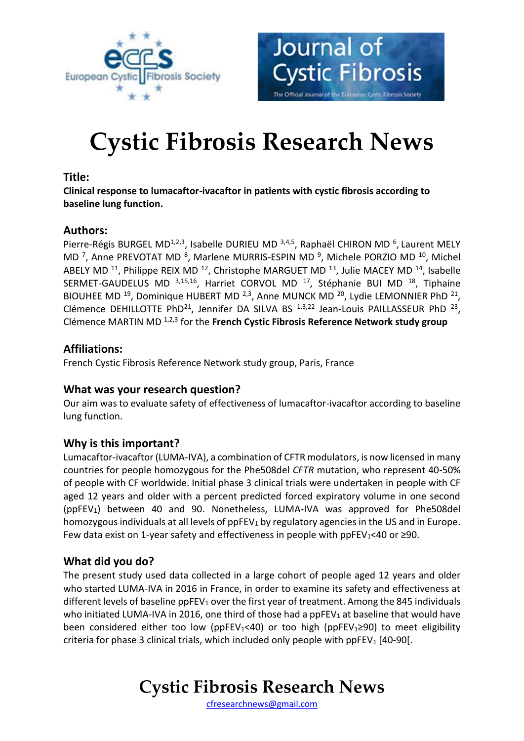



# **Cystic Fibrosis Research News**

#### **Title:**

**Clinical response to lumacaftor-ivacaftor in patients with cystic fibrosis according to baseline lung function.**

## **Authors:**

Pierre-Régis BURGEL MD<sup>1,2,3</sup>, Isabelle DURIEU MD<sup>3,4,5</sup>, Raphaël CHIRON MD<sup>6</sup>, Laurent MELY MD<sup>7</sup>, Anne PREVOTAT MD<sup>8</sup>, Marlene MURRIS-ESPIN MD<sup>9</sup>, Michele PORZIO MD<sup>10</sup>, Michel ABELY MD<sup>11</sup>, Philippe REIX MD<sup>12</sup>, Christophe MARGUET MD<sup>13</sup>, Julie MACEY MD<sup>14</sup>, Isabelle SERMET-GAUDELUS MD 3,15,16, Harriet CORVOL MD <sup>17</sup>, Stéphanie BUI MD <sup>18</sup>, Tiphaine BIOUHEE MD<sup>19</sup>, Dominique HUBERT MD<sup>2,3</sup>, Anne MUNCK MD<sup>20</sup>, Lydie LEMONNIER PhD<sup>21</sup>, Clémence DEHILLOTTE PhD<sup>21</sup>, Jennifer DA SILVA BS  $1,3,22$  Jean-Louis PAILLASSEUR PhD  $23$ , Clémence MARTIN MD 1,2,3 for the **French Cystic Fibrosis Reference Network study group**

## **Affiliations:**

French Cystic Fibrosis Reference Network study group, Paris, France

#### **What was your research question?**

Our aim was to evaluate safety of effectiveness of lumacaftor-ivacaftor according to baseline lung function.

# **Why is this important?**

Lumacaftor-ivacaftor (LUMA-IVA), a combination of CFTR modulators, is now licensed in many countries for people homozygous for the Phe508del *CFTR* mutation, who represent 40-50% of people with CF worldwide. Initial phase 3 clinical trials were undertaken in people with CF aged 12 years and older with a percent predicted forced expiratory volume in one second (ppFEV1) between 40 and 90. Nonetheless, LUMA-IVA was approved for Phe508del homozygous individuals at all levels of ppFEV<sub>1</sub> by regulatory agencies in the US and in Europe. Few data exist on 1-year safety and effectiveness in people with ppFEV<sub>1</sub><40 or ≥90.

# **What did you do?**

The present study used data collected in a large cohort of people aged 12 years and older who started LUMA-IVA in 2016 in France, in order to examine its safety and effectiveness at different levels of baseline  $ppFEV_1$  over the first year of treatment. Among the 845 individuals who initiated LUMA-IVA in 2016, one third of those had a ppFEV<sub>1</sub> at baseline that would have been considered either too low (ppFEV<sub>1</sub><40) or too high (ppFEV<sub>1</sub>≥90) to meet eligibility criteria for phase 3 clinical trials, which included only people with ppFEV<sub>1</sub> [40-90].

# **Cystic Fibrosis Research News**

[cfresearchnews@gmail.com](mailto:cfresearchnews@gmail.com)